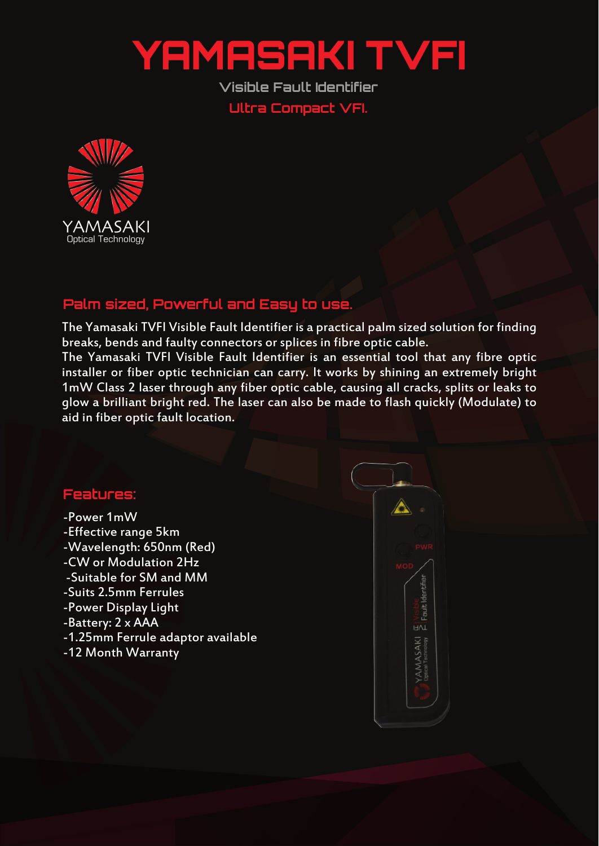## YAMASAKI TVFI

**Visible Fault Identifier Ultra Compact VFI.**



## **Palm sized, Powerful and Easy to use.**

The Yamasaki TVFI Visible Fault Identifier is a practical palm sized solution for finding breaks, bends and faulty connectors or splices in fibre optic cable.

The Yamasaki TVFI Visible Fault Identifier is an essential tool that any fibre optic installer or fiber optic technician can carry. It works by shining an extremely bright 1mW Class 2 laser through any fiber optic cable, causing all cracks, splits or leaks to glow a brilliant bright red. The laser can also be made to flash quickly (Modulate) to aid in fiber optic fault location.

## **Features:**

- -Power 1mW
- -Effective range 5km
- -Wavelength: 650nm (Red)
- -CW or Modulation 2Hz
- -Suitable for SM and MM
- -Suits 2.5mm Ferrules
- -Power Display Light
- -Battery: 2 x AAA
- -1.25mm Ferrule adaptor available
- -12 Month Warranty